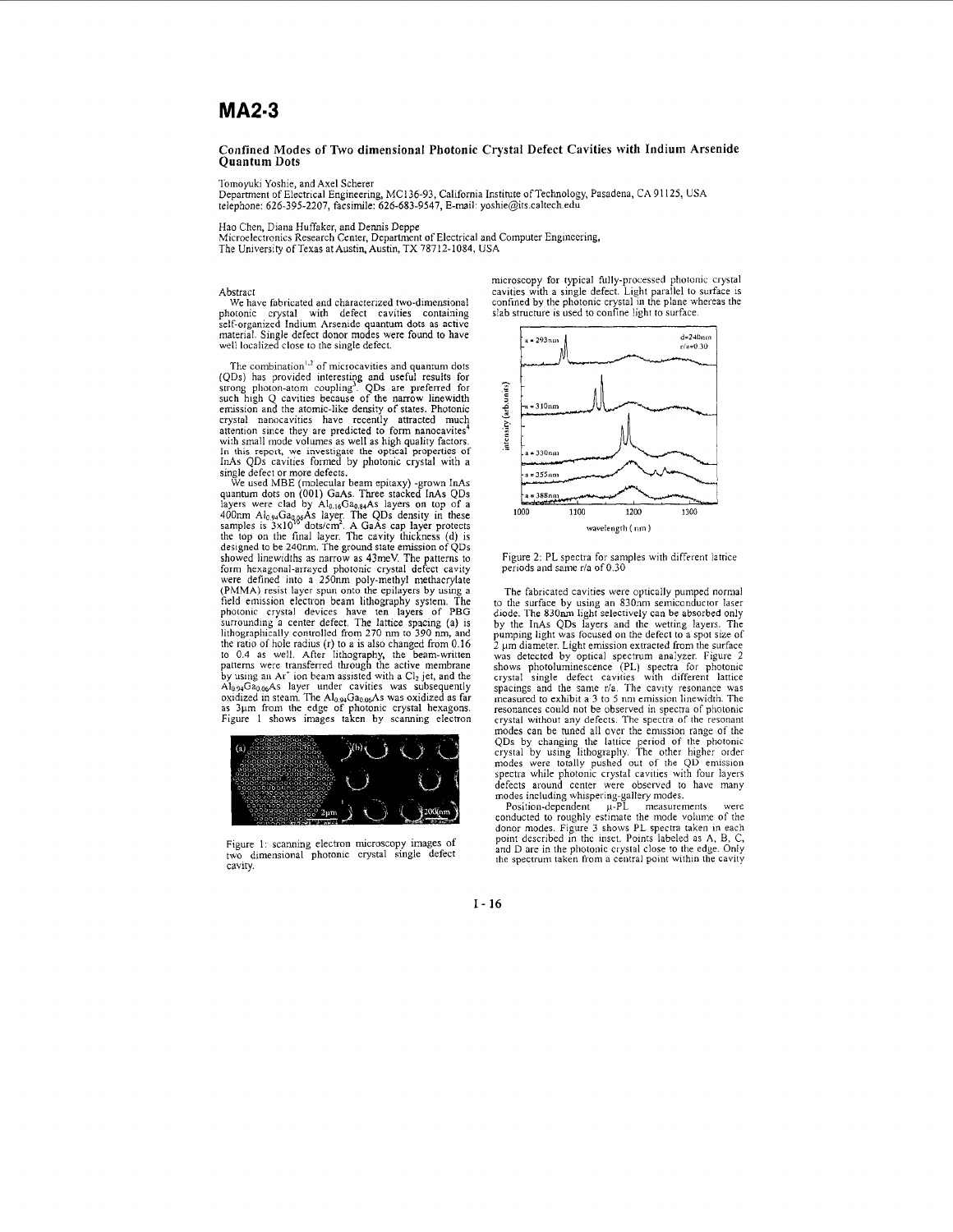## **MA2·3**

## **Confined Modes of Two dimensional Photonic Crystal Defect Cavities with Indium Arsenide Quantum Dots**

Tomoyuki Yoshie, and Axel Scherer<br>Department of Electrical Engineering, MC136-93, California Institute of Technology, Pasadena, CA 91125, USA telephone: 626-395-2207, facsimile: 626-683-9547, E-mail: [yoshie@its.caltech.edu](mailto:yoshie@its.caltech.edu)

Hao Chen, Diana Huffaker, and Dennis Deppe

Microelectronics Research Center, Department of Electrical and Computer Engineering, The University of Texas at Austin, Austin, TX 78712-1084, USA

## Abstract

We have fabricated and characterized two-dimensional photonic crystal with defect cavities containing self-organized Indium Arsenide quantum dots as active material. Single defect donor modes were found to have well localized close to the single defect.

The combination<sup>1,2</sup> of microcavities and quantum dots<br>(QDs) has provided intersting and useful results for<br>strong photon-atom coupling<sup>2</sup>. QDs are preferred for<br>such high Q cavities because of the narrow linewidth<br>ermiss In this report, we investigate the optical properties of InAs QDs cavities formed by photonic crystal with a

single defect or more defects.<br>We used MBE (molecular beam epitaxy) -grown InAs<br>quantum dots on (001) GaAs. Three stacked InAs QDs<br>layers were clad by Al<sub>0.16</sub>Ga<sub>0.84</sub>As layers on top of a<br>400nm Al<sub>0.94</sub>Ga<sub>0.86</sub>As layer. showed linewidths as narrow as 43meV. The patterns to<br>form hexagonal-arrayed photonic crystal defect cavity<br>were defined into a 250nm poly-methyl methacrylate<br>(PMMA) resist layer spun onto the epilayers by using a<br>field em photonic crystal devices have ten layers of PBG surrounding a center defect. The lattice spacing (a) is lithographically controlled from 270 nm to 390 nm, and the ratio of hole radius (r) to a is also changed from 0.16 to 0.4 as well. After lithography, the beam-written patterns were transferred through the active membrane by using an Ar<sup>+</sup> ion beam assisted with a Cl<sub>2</sub> jet, and the<br>Al<sub>0.94</sub>Ga<sub>0.06</sub>As layer under cavities was subsequently oxidized in steam. The Al<sub>0.94</sub>Ga<sub>0.06</sub>As was oxidized as far<br>as 3µm from the edge of photonic crystal hexagons.<br>Figure 1 shows images taken by scanning electron



Figure I: scanning electron microscopy images of two dimensional photonic crystal single defect cavity.

microscopy for typical fully-processed photonic crystal cavities with a single defect. Light parallel to surface is confined by the photonic crystal in the plane whereas the slab structure is used to confine light to surface.



Figure 2: PL spectra for samples with different lattice periods and same r/a of 0.30

The fabricated cavities were optically pumped normal to the surface by using an 830nm semiconductor laser diode. The 830run light selectively can be absorbed only by the lnAs QDs layers and the wetting layers. The pumping light was focused on the defect to a spot size of 2 µm diameter. Light emission extracted from the surface<br>was detected by optical spectrum analyzer. Figure 2<br>shows photoluminescence (PL) spectra for photonic<br>crystal single defect cavities with different lattice<br>spacings measured to exhibit a 3 to 5 nm emission linewidth. The resonances could not be observed in spectra of photonic crystal without any defects. The spectra of the resonant modes can be tuned all over the emission range of the QDs by changing the lattice period of the photonic<br>crystal by using lithography. The other higher order<br>modes were totally pushed out of the QD emission<br>spectra while photonic crystal cavities with four layers<br>defects arou

modes including whispering-gallery modes.<br>
Position-dependent <br>
conducted to roughly estimate the mode volume of the donor modes. Figure 3 shows PL spectra taken in each point described in the inset. Points labeled as A, B, C, and D are in the photonic crystal close to the edge. Only the spectrum taken from a central point within the cavity

**1-16**